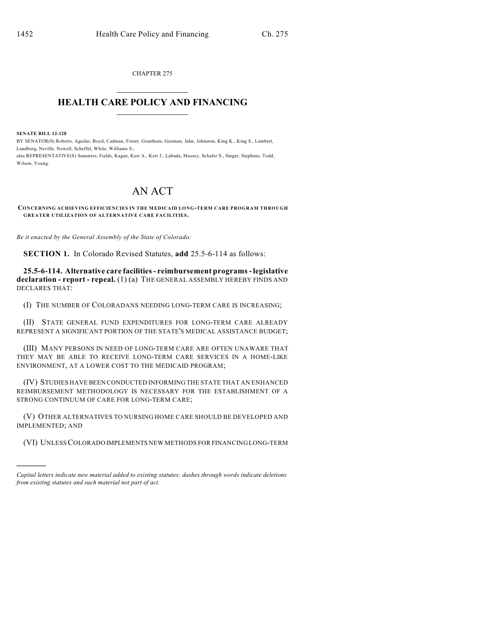CHAPTER 275  $\overline{\phantom{a}}$  . The set of the set of the set of the set of the set of the set of the set of the set of the set of the set of the set of the set of the set of the set of the set of the set of the set of the set of the set o

## **HEALTH CARE POLICY AND FINANCING**  $\_$   $\_$   $\_$   $\_$   $\_$   $\_$   $\_$   $\_$

**SENATE BILL 12-128**

)))))

BY SENATOR(S) Roberts, Aguilar, Boyd, Cadman, Foster, Grantham, Guzman, Jahn, Johnston, King K., King S., Lambert, Lundberg, Neville, Newell, Scheffel, White, Williams S.; also REPRESENTATIVE(S) Summers, Fields, Kagan, Kerr A., Kerr J., Labuda, Massey, Schafer S., Singer, Stephens, Todd, Wilson, Young.

## AN ACT

**CONCERNING ACHIEVING EFFICIENCIES IN THE MEDICAID LONG-TERM CARE PROGRAM THROUGH GREATER UTILIZATION OF ALTERNATIVE CARE FACILITIES.**

*Be it enacted by the General Assembly of the State of Colorado:*

**SECTION 1.** In Colorado Revised Statutes, **add** 25.5-6-114 as follows:

**25.5-6-114. Alternative care facilities- reimbursement programs- legislative declaration - report - repeal.** (1) (a) THE GENERAL ASSEMBLY HEREBY FINDS AND DECLARES THAT:

(I) THE NUMBER OF COLORADANS NEEDING LONG-TERM CARE IS INCREASING;

(II) STATE GENERAL FUND EXPENDITURES FOR LONG-TERM CARE ALREADY REPRESENT A SIGNIFICANT PORTION OF THE STATE'S MEDICAL ASSISTANCE BUDGET;

(III) MANY PERSONS IN NEED OF LONG-TERM CARE ARE OFTEN UNAWARE THAT THEY MAY BE ABLE TO RECEIVE LONG-TERM CARE SERVICES IN A HOME-LIKE ENVIRONMENT, AT A LOWER COST TO THE MEDICAID PROGRAM;

(IV) STUDIES HAVE BEEN CONDUCTED INFORMING THE STATE THAT AN ENHANCED REIMBURSEMENT METHODOLOGY IS NECESSARY FOR THE ESTABLISHMENT OF A STRONG CONTINUUM OF CARE FOR LONG-TERM CARE;

(V) OTHER ALTERNATIVES TO NURSING HOME CARE SHOULD BE DEVELOPED AND IMPLEMENTED; AND

(VI) UNLESSCOLORADO IMPLEMENTS NEW METHODS FOR FINANCING LONG-TERM

*Capital letters indicate new material added to existing statutes; dashes through words indicate deletions from existing statutes and such material not part of act.*